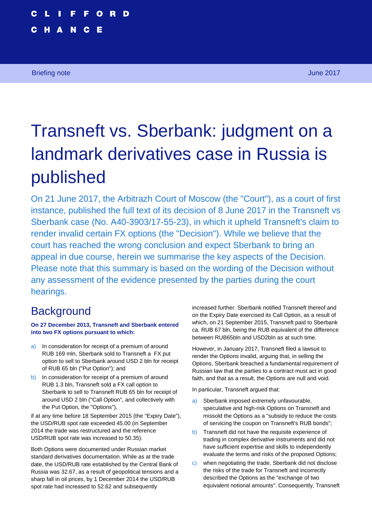**Transneft vs. Sberbank: judgment on a landmark derivatives case in Russia is published 1**

# Transneft vs. Sberbank: judgment on a landmark derivatives case in Russia is published

On 21 June 2017, the Arbitrazh Court of Moscow (the "Court"), as a court of first instance, published the full text of its decision of 8 June 2017 in the Transneft vs Sberbank case (No. A40-3903/17-55-23), in which it upheld Transneft's claim to render invalid certain FX options (the "Decision"). While we believe that the court has reached the wrong conclusion and expect Sberbank to bring an appeal in due course, herein we summarise the key aspects of the Decision. Please note that this summary is based on the wording of the Decision without any assessment of the evidence presented by the parties during the court hearings.

# **Background**

**On 27 December 2013, Transneft and Sberbank entered into two FX options pursuant to which:** 

- a) In consideration for receipt of a premium of around RUB 169 mln, Sberbank sold to Transneft a FX put option to sell to Sberbank around USD 2 bln for receipt of RUB 65 bln ("Put Option"); and
- b) In consideration for receipt of a premium of around RUB 1.3 bln, Transneft sold a FX call option to Sberbank to sell to Transneft RUB 65 bln for receipt of around USD 2 bln ("Call Option", and collectively with the Put Option, the "Options"),

if at any time before 18 September 2015 (the "Expiry Date"), the USD/RUB spot rate exceeded 45.00 (in September 2014 the trade was restructured and the reference USD/RUB spot rate was increased to 50.35).

Both Options were documented under Russian market standard derivatives documentation. While as at the trade date, the USD/RUB rate established by the Central Bank of Russia was 32.67, as a result of geopolitical tensions and a sharp fall in oil prices, by 1 December 2014 the USD/RUB spot rate had increased to 52.62 and subsequently

increased further. Sberbank notified Transneft thereof and on the Expiry Date exercised its Call Option, as a result of which, on 21 September 2015, Transneft paid to Sberbank ca. RUB 67 bln, being the RUB equivalent of the difference between RUB65bln and USD2bln as at such time.

However, in January 2017, Transneft filed a lawsuit to render the Options invalid, arguing that, in selling the Options, Sberbank breached a fundamental requirement of Russian law that the parties to a contract must act in good faith, and that as a result, the Options are null and void.

In particular, Transneft argued that:

- a) Sberbank imposed extremely unfavourable, speculative and high-risk Options on Transneft and missold the Options as a "subsidy to reduce the costs of servicing the coupon on Transneft's RUB bonds";
- b) Transneft did not have the requisite experience of trading in complex derivative instruments and did not have sufficient expertise and skills to independently evaluate the terms and risks of the proposed Options;
- c) when negotiating the trade, Sberbank did not disclose the risks of the trade for Transneft and incorrectly described the Options as the "exchange of two equivalent notional amounts". Consequently, Transneft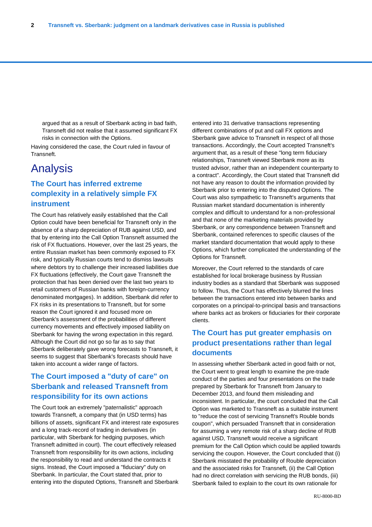argued that as a result of Sberbank acting in bad faith, Transneft did not realise that it assumed significant FX risks in connection with the Options.

Having considered the case, the Court ruled in favour of Transneft.

## Analysis

### **The Court has inferred extreme complexity in a relatively simple FX instrument**

The Court has relatively easily established that the Call Option could have been beneficial for Transneft only in the absence of a sharp depreciation of RUB against USD, and that by entering into the Call Option Transneft assumed the risk of FX fluctuations. However, over the last 25 years, the entire Russian market has been commonly exposed to FX risk, and typically Russian courts tend to dismiss lawsuits where debtors try to challenge their increased liabilities due FX fluctuations (effectively, the Court gave Transneft the protection that has been denied over the last two years to retail customers of Russian banks with foreign-currency denominated mortgages). In addition, Sberbank did refer to FX risks in its presentations to Transneft, but for some reason the Court ignored it and focused more on Sberbank's assessment of the probabilities of different currency movements and effectively imposed liability on Sberbank for having the wrong expectation in this regard. Although the Court did not go so far as to say that Sberbank deliberately gave wrong forecasts to Transneft, it seems to suggest that Sberbank's forecasts should have taken into account a wider range of factors.

### **The Court imposed a "duty of care" on Sberbank and released Transneft from responsibility for its own actions**

The Court took an extremely "paternalistic" approach towards Transneft, a company that (in USD terms) has billions of assets, significant FX and interest rate exposures and a long track-record of trading in derivatives (in particular, with Sberbank for hedging purposes, which Transneft admitted in court). The court effectively released Transneft from responsibility for its own actions, including the responsibility to read and understand the contracts it signs. Instead, the Court imposed a "fiduciary" duty on Sberbank. In particular, the Court stated that, prior to entering into the disputed Options, Transneft and Sberbank entered into 31 derivative transactions representing different combinations of put and call FX options and Sberbank gave advice to Transneft in respect of all those transactions. Accordingly, the Court accepted Transneft's argument that, as a result of these "long term fiduciary relationships, Transneft viewed Sberbank more as its trusted advisor, rather than an independent counterparty to a contract". Accordingly, the Court stated that Transneft did not have any reason to doubt the information provided by Sberbank prior to entering into the disputed Options. The Court was also sympathetic to Transneft's arguments that Russian market standard documentation is inherently complex and difficult to understand for a non-professional and that none of the marketing materials provided by Sberbank, or any correspondence between Transneft and Sberbank, contained references to specific clauses of the market standard documentation that would apply to these Options, which further complicated the understanding of the Options for Transneft.

Moreover, the Court referred to the standards of care established for local brokerage business by Russian industry bodies as a standard that Sberbank was supposed to follow. Thus, the Court has effectively blurred the lines between the transactions entered into between banks and corporates on a principal-to-principal basis and transactions where banks act as brokers or fiduciaries for their corporate clients.

#### **The Court has put greater emphasis on product presentations rather than legal documents**

In assessing whether Sberbank acted in good faith or not, the Court went to great length to examine the pre-trade conduct of the parties and four presentations on the trade prepared by Sberbank for Transneft from January to December 2013, and found them misleading and inconsistent. In particular, the court concluded that the Call Option was marketed to Transneft as a suitable instrument to "reduce the cost of servicing Transneft's Rouble bonds coupon", which persuaded Transneft that in consideration for assuming a very remote risk of a sharp decline of RUB against USD, Transneft would receive a significant premium for the Call Option which could be applied towards servicing the coupon. However, the Court concluded that (i) Sberbank misstated the probability of Rouble depreciation and the associated risks for Transneft, (ii) the Call Option had no direct correlation with servicing the RUB bonds, (iii) Sberbank failed to explain to the court its own rationale for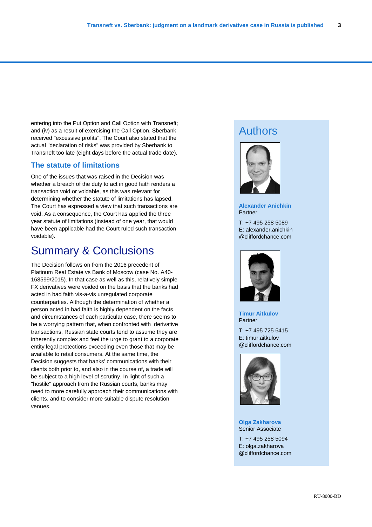entering into the Put Option and Call Option with Transneft; and (iv) as a result of exercising the Call Option, Sberbank received "excessive profits". The Court also stated that the actual "declaration of risks" was provided by Sberbank to Transneft too late (eight days before the actual trade date).

#### **The statute of limitations**

One of the issues that was raised in the Decision was whether a breach of the duty to act in good faith renders a transaction void or voidable, as this was relevant for determining whether the statute of limitations has lapsed. The Court has expressed a view that such transactions are void. As a consequence, the Court has applied the three year statute of limitations (instead of one year, that would have been applicable had the Court ruled such transaction voidable).

# Summary & Conclusions

The Decision follows on from the 2016 precedent of Platinum Real Estate vs Bank of Moscow (case No. А40- 168599/2015). In that case as well as this, relatively simple FX derivatives were voided on the basis that the banks had acted in bad faith vis-a-vis unregulated corporate counterparties. Although the determination of whether a person acted in bad faith is highly dependent on the facts and circumstances of each particular case, there seems to be a worrying pattern that, when confronted with derivative transactions, Russian state courts tend to assume they are inherently complex and feel the urge to grant to a corporate entity legal protections exceeding even those that may be available to retail consumers. At the same time, the Decision suggests that banks' communications with their clients both prior to, and also in the course of, a trade will be subject to a high level of scrutiny. In light of such a "hostile" approach from the Russian courts, banks may need to more carefully approach their communications with clients, and to consider more suitable dispute resolution venues.

# Authors



**Alexander Anichkin** Partner

@cliffordchance.com T: +7 495 258 5089 E: alexander.anichkin



**Timur Aitkulov** Partner

T: +7 495 725 6415 E: timur.aitkulov @cliffordchance.com



**Olga Zakharova** Senior Associate

T: +7 495 258 5094 E: olga.zakharova @cliffordchance.com